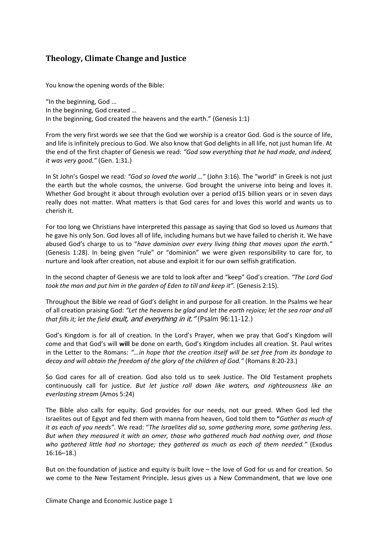# **Theology, Climate Change and Justice**

You know the opening words of the Bible:

"In the beginning, God ... In the beginning, God created … In the beginning, God created the heavens and the earth." (Genesis 1:1)

From the very first words we see that the God we worship is a creator God. God is the source of life, and life is infinitely precious to God. We also know that God delights in all life, not just human life. At the end of the first chapter of Genesis we read: *"God saw everything that he had made, and indeed, it was very good."* (Gen. 1:31.)

In St John's Gospel we read*: "God so loved the world …"* (John 3:16). The "world" in Greek is not just the earth but the whole cosmos, the universe. God brought the universe into being and loves it. Whether God brought it about through evolution over a period of15 billion years or in seven days really does not matter. What matters is that God cares for and loves this world and wants us to cherish it.

For too long we Christians have interpreted this passage as saying that God so loved us *humans* that he gave his only Son. God loves all of life, including humans but we have failed to cherish it. We have abused God's charge to us to "*have dominion over every living thing that moves upon the earth."* (Genesis 1:28). In being given "rule" or "dominion" we were given responsibility to care for, to nurture and look after creation, not abuse and exploit it for our own selfish gratification.

In the second chapter of Genesis we are told to look after and "keep" God's creation. *"The Lord God took the man and put him in the garden of Eden to till and keep it".* (Genesis 2:15).

Throughout the Bible we read of God's delight in and purpose for all creation. In the Psalms we hear of all creation praising God: *"Let the heavens be glad and let the earth rejoice; let the sea roar and all that fills it; let the field* exult, and everything in it." (Psalm 96:11-12.)

God's Kingdom is for all of creation. In the Lord's Prayer, when we pray that God's Kingdom will come and that God's will **will** be done on earth, God's Kingdom includes all creation. St. Paul writes in the Letter to the Romans: *"...in hope that the creation itself will be set free from its bondage to decay and will obtain the freedom of the glory of the children of God."* (Romans 8:20-23.)

So God cares for all of creation. God also told us to seek Justice. The Old Testament prophets continuously call for justice. *But let justice roll down like waters, and righteousness like an everlasting stream* (Amos 5:24)

The Bible also calls for equity. God provides for our needs, not our greed. When God led the Israelites out of Egypt and fed them with manna from heaven, God told them to **"***Gather as much of it as each of you needs".* We read: "*The Israelites did so, some gathering more, some gathering less. But when they measured it with an omer, those who gathered much had nothing over, and those who gathered little had no shortage; they gathered as much as each of them needed."* (Exodus 16:16–18.)

But on the foundation of justice and equity is built love – the love of God for us and for creation. So we come to the New Testament Principle**.** Jesus gives us a New Commandment, that we love one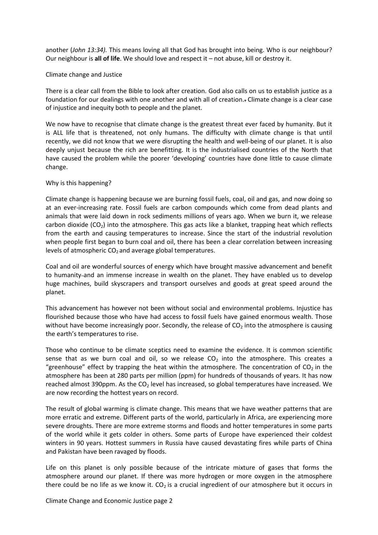another (*John 13:34).* This means loving all that God has brought into being. Who is our neighbour? Our neighbour is **all of life**. We should love and respect it – not abuse, kill or destroy it.

## Climate change and Justice

There is a clear call from the Bible to look after creation. God also calls on us to establish justice as a foundation for our dealings with one another and with all of creation.. Climate change is a clear case of injustice and inequity both to people and the planet.

We now have to recognise that climate change is the greatest threat ever faced by humanity. But it is ALL life that is threatened, not only humans. The difficulty with climate change is that until recently, we did not know that we were disrupting the health and well-being of our planet. It is also deeply unjust because the rich are benefitting. It is the industrialised countries of the North that have caused the problem while the poorer 'developing' countries have done little to cause climate change.

# Why is this happening?

Climate change is happening because we are burning fossil fuels, coal, oil and gas, and now doing so at an ever-increasing rate. Fossil fuels are carbon compounds which come from dead plants and animals that were laid down in rock sediments millions of years ago. When we burn it, we release carbon dioxide ( $CO<sub>2</sub>$ ) into the atmosphere. This gas acts like a blanket, trapping heat which reflects from the earth and causing temperatures to increase. Since the start of the industrial revolution when people first began to burn coal and oil, there has been a clear correlation between increasing levels of atmospheric  $CO<sub>2</sub>$  and average global temperatures.

Coal and oil are wonderful sources of energy which have brought massive advancement and benefit to humanity-and an immense increase in wealth on the planet. They have enabled us to develop huge machines, build skyscrapers and transport ourselves and goods at great speed around the planet.

This advancement has however not been without social and environmental problems. Injustice has flourished because those who have had access to fossil fuels have gained enormous wealth. Those without have become increasingly poor. Secondly, the release of  $CO<sub>2</sub>$  into the atmosphere is causing the earth's temperatures to rise.

Those who continue to be climate sceptics need to examine the evidence. It is common scientific sense that as we burn coal and oil, so we release  $CO<sub>2</sub>$  into the atmosphere. This creates a "greenhouse" effect by trapping the heat within the atmosphere. The concentration of  $CO<sub>2</sub>$  in the atmosphere has been at 280 parts per million (ppm) for hundreds of thousands of years. It has now reached almost 390ppm. As the  $CO<sub>2</sub>$  level has increased, so global temperatures have increased. We are now recording the hottest years on record.

The result of global warming is climate change. This means that we have weather patterns that are more erratic and extreme. Different parts of the world, particularly in Africa, are experiencing more severe droughts. There are more extreme storms and floods and hotter temperatures in some parts of the world while it gets colder in others. Some parts of Europe have experienced their coldest winters in 90 years. Hottest summers in Russia have caused devastating fires while parts of China and Pakistan have been ravaged by floods.

Life on this planet is only possible because of the intricate mixture of gases that forms the atmosphere around our planet. If there was more hydrogen or more oxygen in the atmosphere there could be no life as we know it.  $CO<sub>2</sub>$  is a crucial ingredient of our atmosphere but it occurs in

Climate Change and Economic Justice page 2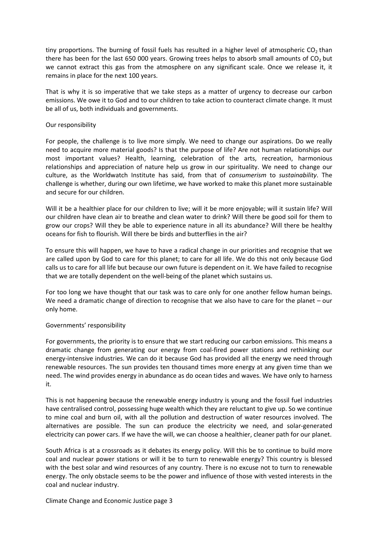tiny proportions. The burning of fossil fuels has resulted in a higher level of atmospheric  $CO<sub>2</sub>$  than there has been for the last 650 000 years. Growing trees helps to absorb small amounts of  $CO<sub>2</sub>$  but we cannot extract this gas from the atmosphere on any significant scale. Once we release it, it remains in place for the next 100 years.

That is why it is so imperative that we take steps as a matter of urgency to decrease our carbon emissions. We owe it to God and to our children to take action to counteract climate change. It must be all of us, both individuals and governments.

## Our responsibility

For people, the challenge is to live more simply. We need to change our aspirations. Do we really need to acquire more material goods? Is that the purpose of life? Are not human relationships our most important values? Health, learning, celebration of the arts, recreation, harmonious relationships and appreciation of nature help us grow in our spirituality. We need to change our culture, as the Worldwatch Institute has said, from that of *consumerism* to *sustainability*. The challenge is whether, during our own lifetime, we have worked to make this planet more sustainable and secure for our children.

Will it be a healthier place for our children to live; will it be more enjoyable; will it sustain life? Will our children have clean air to breathe and clean water to drink? Will there be good soil for them to grow our crops? Will they be able to experience nature in all its abundance? Will there be healthy oceans for fish to flourish. Will there be birds and butterflies in the air?

To ensure this will happen, we have to have a radical change in our priorities and recognise that we are called upon by God to care for this planet; to care for all life. We do this not only because God calls us to care for all life but because our own future is dependent on it. We have failed to recognise that we are totally dependent on the well-being of the planet which sustains us.

For too long we have thought that our task was to care only for one another fellow human beings. We need a dramatic change of direction to recognise that we also have to care for the planet – our only home.

# Governments' responsibility

For governments, the priority is to ensure that we start reducing our carbon emissions. This means a dramatic change from generating our energy from coal-fired power stations and rethinking our energy-intensive industries. We can do it because God has provided all the energy we need through renewable resources. The sun provides ten thousand times more energy at any given time than we need. The wind provides energy in abundance as do ocean tides and waves. We have only to harness it.

This is not happening because the renewable energy industry is young and the fossil fuel industries have centralised control, possessing huge wealth which they are reluctant to give up. So we continue to mine coal and burn oil, with all the pollution and destruction of water resources involved. The alternatives are possible. The sun can produce the electricity we need, and solar-generated electricity can power cars. If we have the will, we can choose a healthier, cleaner path for our planet.

South Africa is at a crossroads as it debates its energy policy. Will this be to continue to build more coal and nuclear power stations or will it be to turn to renewable energy? This country is blessed with the best solar and wind resources of any country. There is no excuse not to turn to renewable energy. The only obstacle seems to be the power and influence of those with vested interests in the coal and nuclear industry.

Climate Change and Economic Justice page 3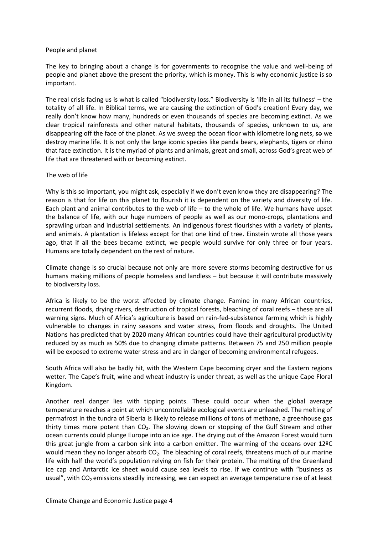## People and planet

The key to bringing about a change is for governments to recognise the value and well-being of people and planet above the present the priority, which is money. This is why economic justice is so important.

The real crisis facing us is what is called "biodiversity loss." Biodiversity is 'life in all its fullness' – the totality of all life. In Biblical terms, we are causing the extinction of God's creation! Every day, we really don't know how many, hundreds or even thousands of species are becoming extinct. As we clear tropical rainforests and other natural habitats, thousands of species, unknown to us, are disappearing off the face of the planet. As we sweep the ocean floor with kilometre long nets, so we destroy marine life. It is not only the large iconic species like panda bears, elephants, tigers or rhino that face extinction. It is the myriad of plants and animals, great and small, across God's great web of life that are threatened with or becoming extinct.

# The web of life

Why is this so important, you might ask, especially if we don't even know they are disappearing? The reason is that for life on this planet to flourish it is dependent on the variety and diversity of life. Each plant and animal contributes to the web of life – to the whole of life. We humans have upset the balance of life, with our huge numbers of people as well as our mono-crops, plantations and sprawling urban and industrial settlements. An indigenous forest flourishes with a variety of plantsand animals. A plantation is lifeless except for that one kind of tree. Einstein wrote all those years ago, that if all the bees became extinct, we people would survive for only three or four years. Humans are totally dependent on the rest of nature.

Climate change is so crucial because not only are more severe storms becoming destructive for us humans making millions of people homeless and landless – but because it will contribute massively to biodiversity loss.

Africa is likely to be the worst affected by climate change. Famine in many African countries, recurrent floods, drying rivers, destruction of tropical forests, bleaching of coral reefs – these are all warning signs. Much of Africa's agriculture is based on rain-fed subsistence farming which is highly vulnerable to changes in rainy seasons and water stress, from floods and droughts. The United Nations has predicted that by 2020 many African countries could have their agricultural productivity reduced by as much as 50% due to changing climate patterns. Between 75 and 250 million people will be exposed to extreme water stress and are in danger of becoming environmental refugees.

South Africa will also be badly hit, with the Western Cape becoming dryer and the Eastern regions wetter. The Cape's fruit, wine and wheat industry is under threat, as well as the unique Cape Floral Kingdom.

Another real danger lies with tipping points. These could occur when the global average temperature reaches a point at which uncontrollable ecological events are unleashed. The melting of permafrost in the tundra of Siberia is likely to release millions of tons of methane, a greenhouse gas thirty times more potent than  $CO<sub>2</sub>$ . The slowing down or stopping of the Gulf Stream and other ocean currents could plunge Europe into an ice age. The drying out of the Amazon Forest would turn this great jungle from a carbon sink into a carbon emitter. The warming of the oceans over 12ºC would mean they no longer absorb  $CO<sub>2</sub>$ . The bleaching of coral reefs, threatens much of our marine life with half the world's population relying on fish for their protein. The melting of the Greenland ice cap and Antarctic ice sheet would cause sea levels to rise. If we continue with "business as usual", with CO<sub>2</sub> emissions steadily increasing, we can expect an average temperature rise of at least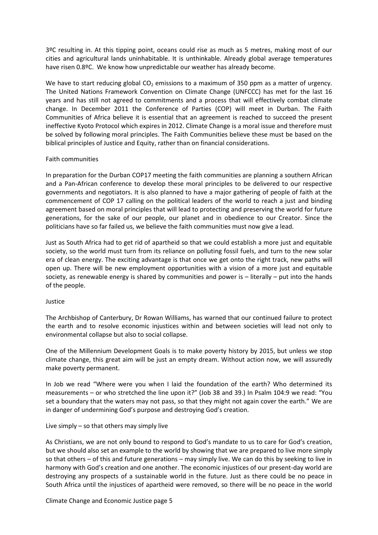3ºC resulting in. At this tipping point, oceans could rise as much as 5 metres, making most of our cities and agricultural lands uninhabitable. It is unthinkable. Already global average temperatures have risen 0.8ºC. We know how unpredictable our weather has already become.

We have to start reducing global  $CO<sub>2</sub>$  emissions to a maximum of 350 ppm as a matter of urgency. The United Nations Framework Convention on Climate Change (UNFCCC) has met for the last 16 years and has still not agreed to commitments and a process that will effectively combat climate change. In December 2011 the Conference of Parties (COP) will meet in Durban. The Faith Communities of Africa believe it is essential that an agreement is reached to succeed the present ineffective Kyoto Protocol which expires in 2012. Climate Change is a moral issue and therefore must be solved by following moral principles. The Faith Communities believe these must be based on the biblical principles of Justice and Equity, rather than on financial considerations.

# Faith communities

In preparation for the Durban COP17 meeting the faith communities are planning a southern African and a Pan-African conference to develop these moral principles to be delivered to our respective governments and negotiators. It is also planned to have a major gathering of people of faith at the commencement of COP 17 calling on the political leaders of the world to reach a just and binding agreement based on moral principles that will lead to protecting and preserving the world for future generations, for the sake of our people, our planet and in obedience to our Creator. Since the politicians have so far failed us, we believe the faith communities must now give a lead.

Just as South Africa had to get rid of apartheid so that we could establish a more just and equitable society, so the world must turn from its reliance on polluting fossil fuels, and turn to the new solar era of clean energy. The exciting advantage is that once we get onto the right track, new paths will open up. There will be new employment opportunities with a vision of a more just and equitable society, as renewable energy is shared by communities and power is – literally – put into the hands of the people.

### Justice

The Archbishop of Canterbury, Dr Rowan Williams, has warned that our continued failure to protect the earth and to resolve economic injustices within and between societies will lead not only to environmental collapse but also to social collapse.

One of the Millennium Development Goals is to make poverty history by 2015, but unless we stop climate change, this great aim will be just an empty dream. Without action now, we will assuredly make poverty permanent.

In Job we read "Where were you when I laid the foundation of the earth? Who determined its measurements – or who stretched the line upon it?" (Job 38 and 39.) In Psalm 104:9 we read: "You set a boundary that the waters may not pass, so that they might not again cover the earth." We are in danger of undermining God's purpose and destroying God's creation.

### Live simply – so that others may simply live

As Christians, we are not only bound to respond to God's mandate to us to care for God's creation, but we should also set an example to the world by showing that we are prepared to live more simply so that others – of this and future generations – may simply live. We can do this by seeking to live in harmony with God's creation and one another. The economic injustices of our present-day world are destroying any prospects of a sustainable world in the future. Just as there could be no peace in South Africa until the injustices of apartheid were removed, so there will be no peace in the world